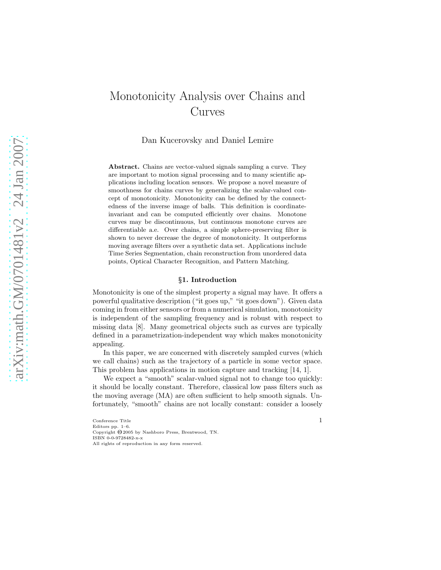# Monotonicity Analysis over Chains and Curves

Dan Kucerovsky and Daniel Lemire

Abstract. Chains are vector-valued signals sampling a curve. They are important to motion signal processing and to many scientific applications including location sensors. We propose a novel measure of smoothness for chains curves by generalizing the scalar-valued concept of monotonicity. Monotonicity can be defined by the connectedness of the inverse image of balls. This definition is coordinateinvariant and can be computed efficiently over chains. Monotone curves may be discontinuous, but continuous monotone curves are differentiable a.e. Over chains, a simple sphere-preserving filter is shown to never decrease the degree of monotonicity. It outperforms moving average filters over a synthetic data set. Applications include Time Series Segmentation, chain reconstruction from unordered data points, Optical Character Recognition, and Pattern Matching.

# §1. Introduction

Monotonicity is one of the simplest property a signal may have. It offers a powerful qualitative description ("it goes up," "it goes down"). Given data coming in from either sensors or from a numerical simulation, monotonicity is independent of the sampling frequency and is robust with respect to missing data [8]. Many geometrical objects such as curves are typically defined in a parametrization-independent way which makes monotonicity appealing.

In this paper, we are concerned with discretely sampled curves (which we call chains) such as the trajectory of a particle in some vector space. This problem has applications in motion capture and tracking [14, 1].

We expect a "smooth" scalar-valued signal not to change too quickly: it should be locally constant. Therefore, classical low pass filters such as the moving average (MA) are often sufficient to help smooth signals. Unfortunately, "smooth" chains are not locally constant: consider a loosely

 $\begin{minipage}{.4\linewidth} Conference Title \end{minipage}$ Editors pp. 1–6. Copyright  $\overline{\Theta}$  2005 by Nashboro Press, Brentwood, TN. ISBN 0-0-9728482-x-x All rights of reproduction in any form reserved.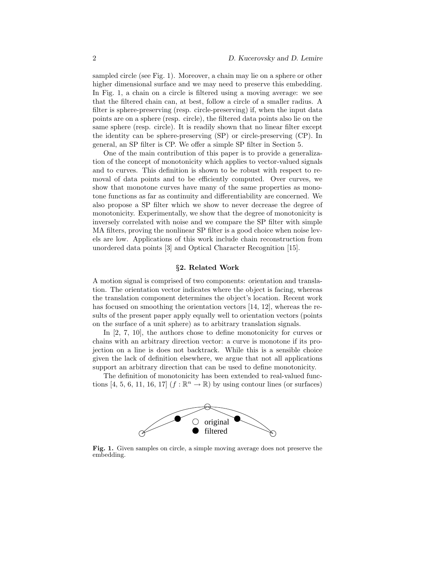sampled circle (see Fig. 1). Moreover, a chain may lie on a sphere or other higher dimensional surface and we may need to preserve this embedding. In Fig. 1, a chain on a circle is filtered using a moving average: we see that the filtered chain can, at best, follow a circle of a smaller radius. A filter is sphere-preserving (resp. circle-preserving) if, when the input data points are on a sphere (resp. circle), the filtered data points also lie on the same sphere (resp. circle). It is readily shown that no linear filter except the identity can be sphere-preserving (SP) or circle-preserving (CP). In general, an SP filter is CP. We offer a simple SP filter in Section 5.

One of the main contribution of this paper is to provide a generalization of the concept of monotonicity which applies to vector-valued signals and to curves. This definition is shown to be robust with respect to removal of data points and to be efficiently computed. Over curves, we show that monotone curves have many of the same properties as monotone functions as far as continuity and differentiability are concerned. We also propose a SP filter which we show to never decrease the degree of monotonicity. Experimentally, we show that the degree of monotonicity is inversely correlated with noise and we compare the SP filter with simple MA filters, proving the nonlinear SP filter is a good choice when noise levels are low. Applications of this work include chain reconstruction from unordered data points [3] and Optical Character Recognition [15].

## §2. Related Work

A motion signal is comprised of two components: orientation and translation. The orientation vector indicates where the object is facing, whereas the translation component determines the object's location. Recent work has focused on smoothing the orientation vectors [14, 12], whereas the results of the present paper apply equally well to orientation vectors (points on the surface of a unit sphere) as to arbitrary translation signals.

In  $[2, 7, 10]$ , the authors chose to define monotonicity for curves or chains with an arbitrary direction vector: a curve is monotone if its projection on a line is does not backtrack. While this is a sensible choice given the lack of definition elsewhere, we argue that not all applications support an arbitrary direction that can be used to define monotonicity.

The definition of monotonicity has been extended to real-valued functions [4, 5, 6, 11, 16, 17]  $(f : \mathbb{R}^n \to \mathbb{R})$  by using contour lines (or surfaces)



Fig. 1. Given samples on circle, a simple moving average does not preserve the embedding.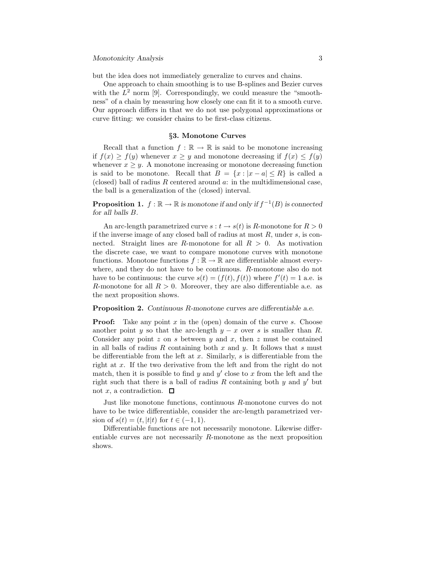but the idea does not immediately generalize to curves and chains.

One approach to chain smoothing is to use B-splines and Bezier curves with the  $L^2$  norm [9]. Correspondingly, we could measure the "smoothness" of a chain by measuring how closely one can fit it to a smooth curve. Our approach differs in that we do not use polygonal approximations or curve fitting: we consider chains to be first-class citizens.

### §3. Monotone Curves

Recall that a function  $f : \mathbb{R} \to \mathbb{R}$  is said to be monotone increasing if  $f(x) \ge f(y)$  whenever  $x \ge y$  and monotone decreasing if  $f(x) \le f(y)$ whenever  $x \geq y$ . A monotone increasing or monotone decreasing function is said to be monotone. Recall that  $B = \{x : |x - a| \le R\}$  is called a (closed) ball of radius  $R$  centered around  $a$ : in the multidimensional case, the ball is a generalization of the (closed) interval.

**Proposition 1.**  $f : \mathbb{R} \to \mathbb{R}$  is monotone if and only if  $f^{-1}(B)$  is connected for all balls B.

An arc-length parametrized curve  $s : t \to s(t)$  is R-monotone for  $R > 0$ if the inverse image of any closed ball of radius at most  $R$ , under  $s$ , is connected. Straight lines are R-monotone for all  $R > 0$ . As motivation the discrete case, we want to compare monotone curves with monotone functions. Monotone functions  $f : \mathbb{R} \to \mathbb{R}$  are differentiable almost everywhere, and they do not have to be continuous. R-monotone also do not have to be continuous: the curve  $s(t) = (f(t), f(t))$  where  $f'(t) = 1$  a.e. is R-monotone for all  $R > 0$ . Moreover, they are also differentiable a.e. as the next proposition shows.

Proposition 2. Continuous R-monotone curves are differentiable a.e.

**Proof:** Take any point  $x$  in the (open) domain of the curve  $s$ . Choose another point y so that the arc-length  $y - x$  over s is smaller than R. Consider any point  $z$  on  $s$  between  $y$  and  $x$ , then  $z$  must be contained in all balls of radius R containing both x and y. It follows that s must be differentiable from the left at  $x$ . Similarly,  $s$  is differentiable from the right at x. If the two derivative from the left and from the right do not match, then it is possible to find  $y$  and  $y'$  close to  $x$  from the left and the right such that there is a ball of radius  $R$  containing both  $y$  and  $y'$  but not x, a contradiction.  $\square$ 

Just like monotone functions, continuous R-monotone curves do not have to be twice differentiable, consider the arc-length parametrized version of  $s(t) = (t, |t|t)$  for  $t \in (-1, 1)$ .

Differentiable functions are not necessarily monotone. Likewise differentiable curves are not necessarily R-monotone as the next proposition shows.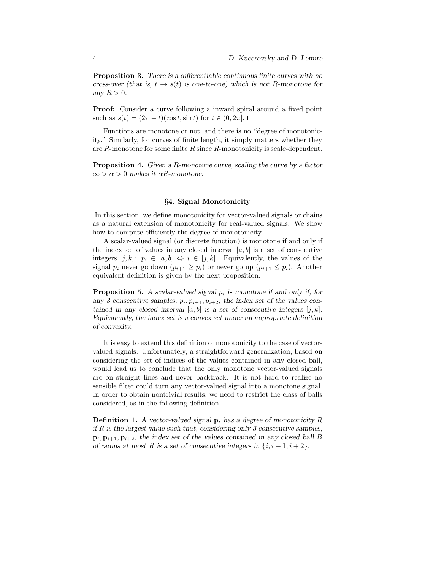Proposition 3. There is a differentiable continuous finite curves with no cross-over (that is,  $t \to s(t)$  is one-to-one) which is not R-monotone for any  $R > 0$ .

Proof: Consider a curve following a inward spiral around a fixed point such as  $s(t) = (2\pi - t)(\cos t, \sin t)$  for  $t \in (0, 2\pi]$ .  $\Box$ 

Functions are monotone or not, and there is no "degree of monotonicity." Similarly, for curves of finite length, it simply matters whether they are R-monotone for some finite R since R-monotonicity is scale-dependent.

Proposition 4. Given a R-monotone curve, scaling the curve by a factor  $\infty > \alpha > 0$  makes it  $\alpha R$ -monotone.

# §4. Signal Monotonicity

In this section, we define monotonicity for vector-valued signals or chains as a natural extension of monotonicity for real-valued signals. We show how to compute efficiently the degree of monotonicity.

A scalar-valued signal (or discrete function) is monotone if and only if the index set of values in any closed interval  $[a, b]$  is a set of consecutive integers  $[j, k]$ :  $p_i \in [a, b] \Leftrightarrow i \in [j, k]$ . Equivalently, the values of the signal  $p_i$  never go down  $(p_{i+1} \geq p_i)$  or never go up  $(p_{i+1} \leq p_i)$ . Another equivalent definition is given by the next proposition.

**Proposition 5.** A scalar-valued signal  $p_i$  is monotone if and only if, for any 3 consecutive samples,  $p_i, p_{i+1}, p_{i+2}$ , the index set of the values contained in any closed interval  $[a, b]$  is a set of consecutive integers  $[j, k]$ . Equivalently, the index set is a convex set under an appropriate definition of convexity.

It is easy to extend this definition of monotonicity to the case of vectorvalued signals. Unfortunately, a straightforward generalization, based on considering the set of indices of the values contained in any closed ball, would lead us to conclude that the only monotone vector-valued signals are on straight lines and never backtrack. It is not hard to realize no sensible filter could turn any vector-valued signal into a monotone signal. In order to obtain nontrivial results, we need to restrict the class of balls considered, as in the following definition.

**Definition 1.** A vector-valued signal  $\mathbf{p}_i$  has a degree of monotonicity R if  $R$  is the largest value such that, considering only 3 consecutive samples,  $\mathbf{p}_i, \mathbf{p}_{i+1}, \mathbf{p}_{i+2}$ , the index set of the values contained in any closed ball B of radius at most R is a set of consecutive integers in  $\{i, i+1, i+2\}$ .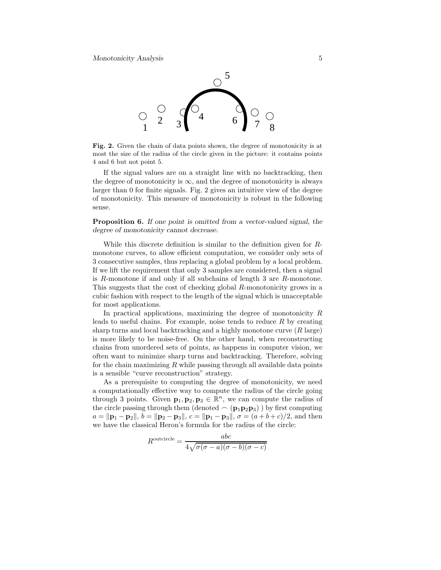

Fig. 2. Given the chain of data points shown, the degree of monotonicity is at most the size of the radius of the circle given in the picture: it contains points 4 and 6 but not point 5.

If the signal values are on a straight line with no backtracking, then the degree of monotonicity is  $\infty$ , and the degree of monotonicity is always larger than 0 for finite signals. Fig. 2 gives an intuitive view of the degree of monotonicity. This measure of monotonicity is robust in the following sense.

**Proposition 6.** If one point is omitted from a vector-valued signal, the degree of monotonicity cannot decrease.

While this discrete definition is similar to the definition given for Rmonotone curves, to allow efficient computation, we consider only sets of 3 consecutive samples, thus replacing a global problem by a local problem. If we lift the requirement that only 3 samples are considered, then a signal is R-monotone if and only if all subchains of length 3 are R-monotone. This suggests that the cost of checking global R-monotonicity grows in a cubic fashion with respect to the length of the signal which is unacceptable for most applications.

In practical applications, maximizing the degree of monotonicity  $R$ leads to useful chains. For example, noise tends to reduce  $R$  by creating sharp turns and local backtracking and a highly monotone curve  $(R \text{ large})$ is more likely to be noise-free. On the other hand, when reconstructing chains from unordered sets of points, as happens in computer vision, we often want to minimize sharp turns and backtracking. Therefore, solving for the chain maximizing  $R$  while passing through all available data points is a sensible "curve reconstruction" strategy.

As a prerequisite to computing the degree of monotonicity, we need a computationally effective way to compute the radius of the circle going through 3 points. Given  $\mathbf{p}_1, \mathbf{p}_2, \mathbf{p}_3 \in \mathbb{R}^n$ , we can compute the radius of the circle passing through them (denoted  $\frown$  ( $p_1p_2p_3$ )) by first computing  $a = ||\mathbf{p}_1 - \mathbf{p}_2||$ ,  $b = ||\mathbf{p}_2 - \mathbf{p}_3||$ ,  $c = ||\mathbf{p}_1 - \mathbf{p}_3||$ ,  $\sigma = (a + b + c)/2$ , and then we have the classical Heron's formula for the radius of the circle:

$$
R^{\text{outcircle}} = \frac{abc}{4\sqrt{\sigma(\sigma - a)(\sigma - b)(\sigma - c)}}
$$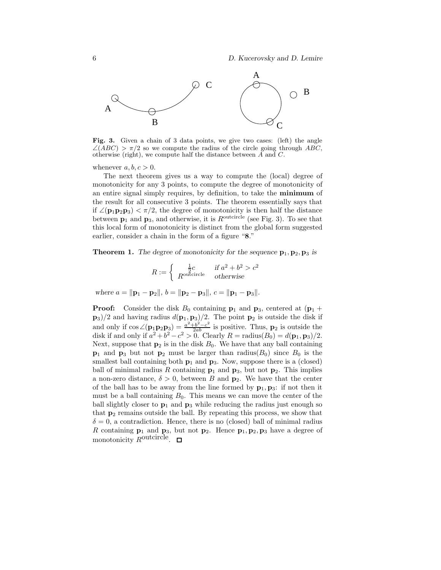

Fig. 3. Given a chain of 3 data points, we give two cases: (left) the angle  $\angle (ABC) > \pi/2$  so we compute the radius of the circle going through ABC, otherwise (right), we compute half the distance between  $\overline{A}$  and  $\overline{C}$ .

whenever  $a, b, c > 0$ .

The next theorem gives us a way to compute the (local) degree of monotonicity for any 3 points, to compute the degree of monotonicity of an entire signal simply requires, by definition, to take the minimum of the result for all consecutive 3 points. The theorem essentially says that if  $\angle(\mathbf{p}_1\mathbf{p}_2\mathbf{p}_3) < \pi/2$ , the degree of monotonicity is then half the distance between  $p_1$  and  $p_3$ , and otherwise, it is  $R^{\text{outcircle}}$  (see Fig. 3). To see that this local form of monotonicity is distinct from the global form suggested earlier, consider a chain in the form of a figure "8."

**Theorem 1.** The degree of monotonicity for the sequence  $\mathbf{p}_1, \mathbf{p}_2, \mathbf{p}_3$  is

$$
R := \begin{cases} \frac{1}{2}c & \text{if } a^2 + b^2 > c^2\\ R^{\text{outcircle}} & \text{otherwise} \end{cases}
$$

where  $a = ||\mathbf{p}_1 - \mathbf{p}_2||$ ,  $b = ||\mathbf{p}_2 - \mathbf{p}_3||$ ,  $c = ||\mathbf{p}_1 - \mathbf{p}_3||$ .

**Proof:** Consider the disk  $B_0$  containing  $p_1$  and  $p_3$ , centered at  $(p_1 + p_2)$  $(\mathbf{p}_3)/2$  and having radius  $d(\mathbf{p}_1, \mathbf{p}_3)/2$ . The point  $\mathbf{p}_2$  is outside the disk if and only if  $\cos \angle (\mathbf{p}_1 \mathbf{p}_2 \mathbf{p}_3) = \frac{a^2 + b^2 - c^2}{2ab}$  is positive. Thus,  $\mathbf{p}_2$  is outside the disk if and only if  $a^2 + b^2 - c^2 > 0$ . Clearly  $R = \text{radius}(B_0) = d(\mathbf{p}_1, \mathbf{p}_3)/2$ . Next, suppose that  $p_2$  is in the disk  $B_0$ . We have that any ball containing  $p_1$  and  $p_3$  but not  $p_2$  must be larger than radius( $B_0$ ) since  $B_0$  is the smallest ball containing both  $p_1$  and  $p_3$ . Now, suppose there is a (closed) ball of minimal radius R containing  $p_1$  and  $p_3$ , but not  $p_2$ . This implies a non-zero distance,  $\delta > 0$ , between B and  $p_2$ . We have that the center of the ball has to be away from the line formed by  $\mathbf{p}_1, \mathbf{p}_3$ : if not then it must be a ball containing  $B_0$ . This means we can move the center of the ball slightly closer to  $\mathbf{p}_1$  and  $\mathbf{p}_3$  while reducing the radius just enough so that  $p_2$  remains outside the ball. By repeating this process, we show that  $\delta = 0$ , a contradiction. Hence, there is no (closed) ball of minimal radius R containing  $\mathbf{p}_1$  and  $\mathbf{p}_3$ , but not  $\mathbf{p}_2$ . Hence  $\mathbf{p}_1, \mathbf{p}_2, \mathbf{p}_3$  have a degree of monotonicity R<sup>outcircle</sup>.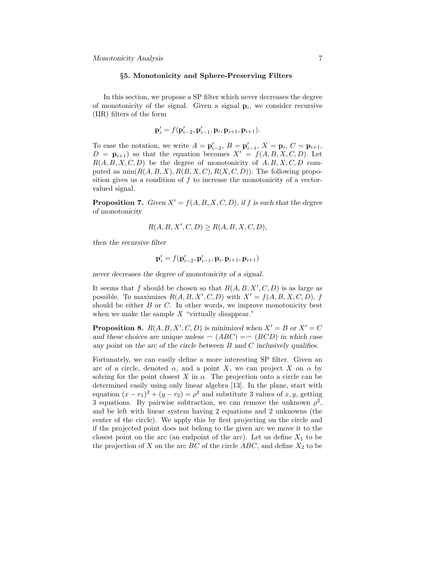### §5. Monotonicity and Sphere-Preserving Filters

In this section, we propose a SP filter which never decreases the degree of monotonicity of the signal. Given a signal  $p_i$ , we consider recursive (IIR) filters of the form

$$
\mathbf{p}'_i = f(\mathbf{p}'_{i-2}, \mathbf{p}'_{i-1}, \mathbf{p}_i, \mathbf{p}_{i+1}, \mathbf{p}_{i+1}).
$$

To ease the notation, we write  $A = \mathbf{p}'_{i-2}$ ,  $B = \mathbf{p}'_{i-1}$ ,  $X = \mathbf{p}_i$ ,  $C = \mathbf{p}_{i+1}$ ,  $D = \mathbf{p}_{i+1}$  so that the equation becomes  $X' = f(A, B, X, C, D)$ . Let  $R(A, B, X, C, D)$  be the degree of monotonicity of  $A, B, X, C, D$  computed as  $\min(R(A, B, X), R(B, X, C), R(X, C, D))$ . The following proposition gives us a condition of f to increase the monotonicity of a vectorvalued signal.

**Proposition 7.** Given  $X' = f(A, B, X, C, D)$ , if f is such that the degree of monotonicity

$$
R(A, B, X', C, D) \ge R(A, B, X, C, D),
$$

then the recursive filter

$$
\mathbf{p}'_i = f(\mathbf{p}'_{i-2}, \mathbf{p}'_{i-1}, \mathbf{p}_i, \mathbf{p}_{i+1}, \mathbf{p}_{i+1})
$$

never decreases the degree of monotonicity of a signal.

It seems that f should be chosen so that  $R(A, B, X', C, D)$  is as large as possible. To maximizes  $R(A, B, X', C, D)$  with  $X' = f(A, B, X, C, D), f$ should be either  $B$  or  $C$ . In other words, we improve monotonicity best when we make the sample  $X$  "virtually disappear."

**Proposition 8.**  $R(A, B, X', C, D)$  is minimized when  $X' = B$  or  $X' = C$ and these choices are unique unless  $\frown (ABC) = \frown (BCD)$  in which case any point on the arc of the circle between B and C inclusively qualifies.

Fortunately, we can easily define a more interesting SP filter. Given an arc of a circle, denoted  $\alpha$ , and a point X, we can project X on  $\alpha$  by solving for the point closest X in  $\alpha$ . The projection onto a circle can be determined easily using only linear algebra [13]. In the plane, start with equation  $(x - r_1)^2 + (y - r_2) = \rho^2$  and substitute 3 values of x, y, getting 3 equations. By pairwise subtraction, we can remove the unknown  $\rho^2$ , and be left with linear system having 2 equations and 2 unknowns (the center of the circle). We apply this by first projecting on the circle and if the projected point does not belong to the given arc we move it to the closest point on the arc (an endpoint of the arc). Let us define  $X_1$  to be the projection of  $X$  on the arc  $BC$  of the circle  $ABC$ , and define  $X_2$  to be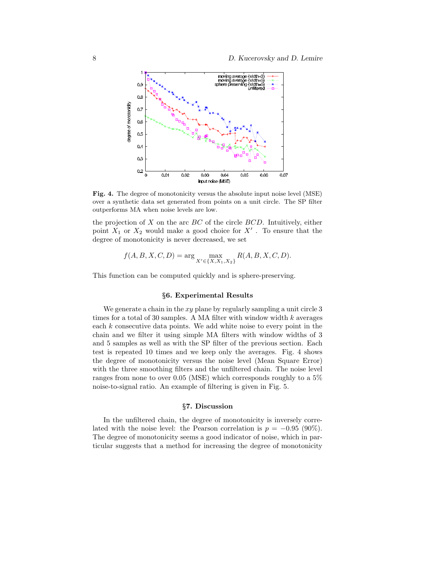

Fig. 4. The degree of monotonicity versus the absolute input noise level (MSE) over a synthetic data set generated from points on a unit circle. The SP filter outperforms MA when noise levels are low.

the projection of  $X$  on the arc  $BC$  of the circle  $BCD$ . Intuitively, either point  $X_1$  or  $X_2$  would make a good choice for  $X'$ . To ensure that the degree of monotonicity is never decreased, we set

$$
f(A, B, X, C, D) = \arg\max_{X' \in \{X, X_1, X_2\}} R(A, B, X, C, D).
$$

This function can be computed quickly and is sphere-preserving.

# §6. Experimental Results

We generate a chain in the  $xy$  plane by regularly sampling a unit circle 3 times for a total of 30 samples. A MA filter with window width  $k$  averages each k consecutive data points. We add white noise to every point in the chain and we filter it using simple MA filters with window widths of 3 and 5 samples as well as with the SP filter of the previous section. Each test is repeated 10 times and we keep only the averages. Fig. 4 shows the degree of monotonicity versus the noise level (Mean Square Error) with the three smoothing filters and the unfiltered chain. The noise level ranges from none to over 0.05 (MSE) which corresponds roughly to a 5% noise-to-signal ratio. An example of filtering is given in Fig. 5.

## §7. Discussion

In the unfiltered chain, the degree of monotonicity is inversely correlated with the noise level: the Pearson correlation is  $p = -0.95$  (90%). The degree of monotonicity seems a good indicator of noise, which in particular suggests that a method for increasing the degree of monotonicity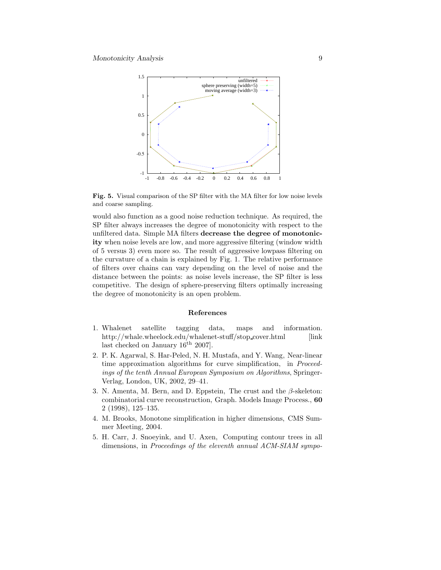

Fig. 5. Visual comparison of the SP filter with the MA filter for low noise levels and coarse sampling.

would also function as a good noise reduction technique. As required, the SP filter always increases the degree of monotonicity with respect to the unfiltered data. Simple MA filters decrease the degree of monotonicity when noise levels are low, and more aggressive filtering (window width of 5 versus 3) even more so. The result of aggressive lowpass filtering on the curvature of a chain is explained by Fig. 1. The relative performance of filters over chains can vary depending on the level of noise and the distance between the points: as noise levels increase, the SP filter is less competitive. The design of sphere-preserving filters optimally increasing the degree of monotonicity is an open problem.

## References

- 1. Whalenet satellite tagging data, maps and information. http://whale.wheelock.edu/whalenet-stuff/stop\_cover.html [link] last checked on January  $16^{th}$  2007].
- 2. P. K. Agarwal, S. Har-Peled, N. H. Mustafa, and Y. Wang, Near-linear time approximation algorithms for curve simplification, in *Proceed*ings of the tenth Annual European Symposium on Algorithms, Springer-Verlag, London, UK, 2002, 29–41.
- 3. N. Amenta, M. Bern, and D. Eppstein, The crust and the  $\beta$ -skeleton: combinatorial curve reconstruction, Graph. Models Image Process., 60 2 (1998), 125–135.
- 4. M. Brooks, Monotone simplification in higher dimensions, CMS Summer Meeting, 2004.
- 5. H. Carr, J. Snoeyink, and U. Axen, Computing contour trees in all dimensions, in Proceedings of the eleventh annual ACM-SIAM sympo-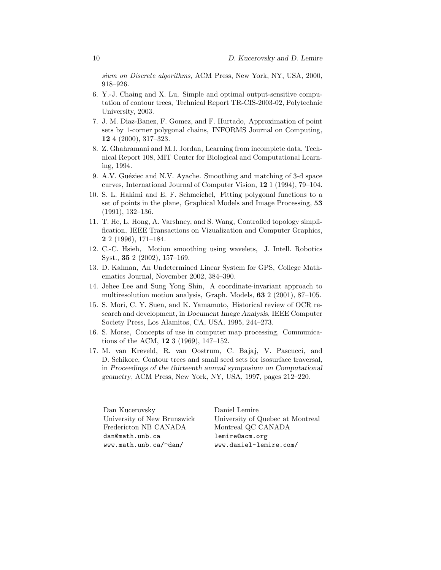sium on Discrete algorithms, ACM Press, New York, NY, USA, 2000, 918–926.

- 6. Y.-J. Chaing and X. Lu, Simple and optimal output-sensitive computation of contour trees, Technical Report TR-CIS-2003-02, Polytechnic University, 2003.
- 7. J. M. Diaz-Banez, F. Gomez, and F. Hurtado, Approximation of point sets by 1-corner polygonal chains, INFORMS Journal on Computing, 12 4 (2000), 317–323.
- 8. Z. Ghahramani and M.I. Jordan, Learning from incomplete data, Technical Report 108, MIT Center for Biological and Computational Learning, 1994.
- 9. A.V. Guéziec and N.V. Ayache. Smoothing and matching of 3-d space curves, International Journal of Computer Vision, 12 1 (1994), 79–104.
- 10. S. L. Hakimi and E. F. Schmeichel, Fitting polygonal functions to a set of points in the plane, Graphical Models and Image Processing, 53 (1991), 132–136.
- 11. T. He, L. Hong, A. Varshney, and S. Wang, Controlled topology simplification, IEEE Transactions on Vizualization and Computer Graphics, 2 2 (1996), 171–184.
- 12. C.-C. Hsieh, Motion smoothing using wavelets, J. Intell. Robotics Syst., 35 2 (2002), 157–169.
- 13. D. Kalman, An Undetermined Linear System for GPS, College Mathematics Journal, November 2002, 384–390.
- 14. Jehee Lee and Sung Yong Shin, A coordinate-invariant approach to multiresolution motion analysis, Graph. Models, 63 2 (2001), 87–105.
- 15. S. Mori, C. Y. Suen, and K. Yamamoto, Historical review of OCR research and development, in Document Image Analysis, IEEE Computer Society Press, Los Alamitos, CA, USA, 1995, 244–273.
- 16. S. Morse, Concepts of use in computer map processing, Communications of the ACM, 12 3 (1969), 147–152.
- 17. M. van Kreveld, R. van Oostrum, C. Bajaj, V. Pascucci, and D. Schikore, Contour trees and small seed sets for isosurface traversal, in Proceedings of the thirteenth annual symposium on Computational geometry, ACM Press, New York, NY, USA, 1997, pages 212–220.

Dan Kucerovsky University of New Brunswick Fredericton NB CANADA dan@math.unb.ca www.math.unb.ca/∼dan/

Daniel Lemire University of Quebec at Montreal Montreal QC CANADA lemire@acm.org www.daniel-lemire.com/